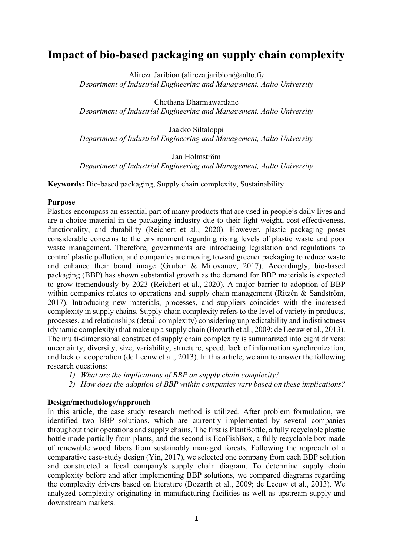# **Impact of bio-based packaging on supply chain complexity**

Alireza Jaribion (alireza.jaribion@aalto.fi*) Department of Industrial Engineering and Management, Aalto University* 

Chethana Dharmawardane *Department of Industrial Engineering and Management, Aalto University*

Jaakko Siltaloppi *Department of Industrial Engineering and Management, Aalto University*

Jan Holmström *Department of Industrial Engineering and Management, Aalto University*

**Keywords:** Bio-based packaging, Supply chain complexity, Sustainability

## **Purpose**

Plastics encompass an essential part of many products that are used in people's daily lives and are a choice material in the packaging industry due to their light weight, cost-effectiveness, functionality, and durability (Reichert et al., 2020). However, plastic packaging poses considerable concerns to the environment regarding rising levels of plastic waste and poor waste management. Therefore, governments are introducing legislation and regulations to control plastic pollution, and companies are moving toward greener packaging to reduce waste and enhance their brand image (Grubor & Milovanov, 2017). Accordingly, bio-based packaging (BBP) has shown substantial growth as the demand for BBP materials is expected to grow tremendously by 2023 (Reichert et al., 2020). A major barrier to adoption of BBP within companies relates to operations and supply chain management (Ritzén & Sandström, 2017). Introducing new materials, processes, and suppliers coincides with the increased complexity in supply chains. Supply chain complexity refers to the level of variety in products, processes, and relationships (detail complexity) considering unpredictability and indistinctness (dynamic complexity) that make up a supply chain (Bozarth et al., 2009; de Leeuw et al., 2013). The multi-dimensional construct of supply chain complexity is summarized into eight drivers: uncertainty, diversity, size, variability, structure, speed, lack of information synchronization, and lack of cooperation (de Leeuw et al., 2013). In this article, we aim to answer the following research questions:

- *1) What are the implications of BBP on supply chain complexity?*
- *2) How does the adoption of BBP within companies vary based on these implications?*

## **Design/methodology/approach**

In this article, the case study research method is utilized. After problem formulation, we identified two BBP solutions, which are currently implemented by several companies throughout their operations and supply chains. The first is PlantBottle, a fully recyclable plastic bottle made partially from plants, and the second is EcoFishBox, a fully recyclable box made of renewable wood fibers from sustainably managed forests. Following the approach of a comparative case-study design (Yin, 2017), we selected one company from each BBP solution and constructed a focal company's supply chain diagram. To determine supply chain complexity before and after implementing BBP solutions, we compared diagrams regarding the complexity drivers based on literature (Bozarth et al., 2009; de Leeuw et al., 2013). We analyzed complexity originating in manufacturing facilities as well as upstream supply and downstream markets.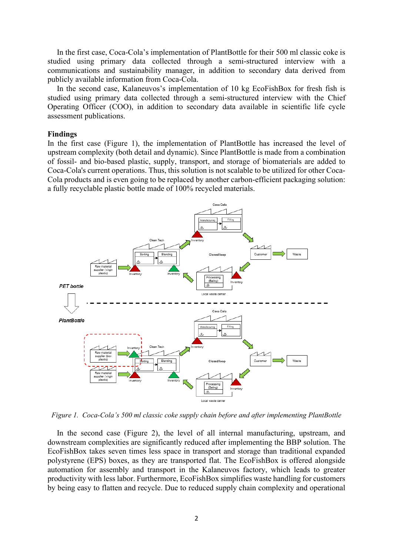In the first case, Coca-Cola's implementation of PlantBottle for their 500 ml classic coke is studied using primary data collected through a semi-structured interview with a communications and sustainability manager, in addition to secondary data derived from publicly available information from Coca-Cola.

In the second case, Kalaneuvos's implementation of 10 kg EcoFishBox for fresh fish is studied using primary data collected through a semi-structured interview with the Chief Operating Officer (COO), in addition to secondary data available in scientific life cycle assessment publications.

#### **Findings**

In the first case (Figure 1), the implementation of PlantBottle has increased the level of upstream complexity (both detail and dynamic). Since PlantBottle is made from a combination of fossil- and bio-based plastic, supply, transport, and storage of biomaterials are added to Coca-Cola's current operations. Thus, this solution is not scalable to be utilized for other Coca-Cola products and is even going to be replaced by another carbon-efficient packaging solution: a fully recyclable plastic bottle made of 100% recycled materials.



*Figure 1. Coca-Cola's 500 ml classic coke supply chain before and after implementing PlantBottle*

In the second case (Figure 2), the level of all internal manufacturing, upstream, and downstream complexities are significantly reduced after implementing the BBP solution. The EcoFishBox takes seven times less space in transport and storage than traditional expanded polystyrene (EPS) boxes, as they are transported flat. The EcoFishBox is offered alongside automation for assembly and transport in the Kalaneuvos factory, which leads to greater productivity with less labor. Furthermore, EcoFishBox simplifies waste handling for customers by being easy to flatten and recycle. Due to reduced supply chain complexity and operational